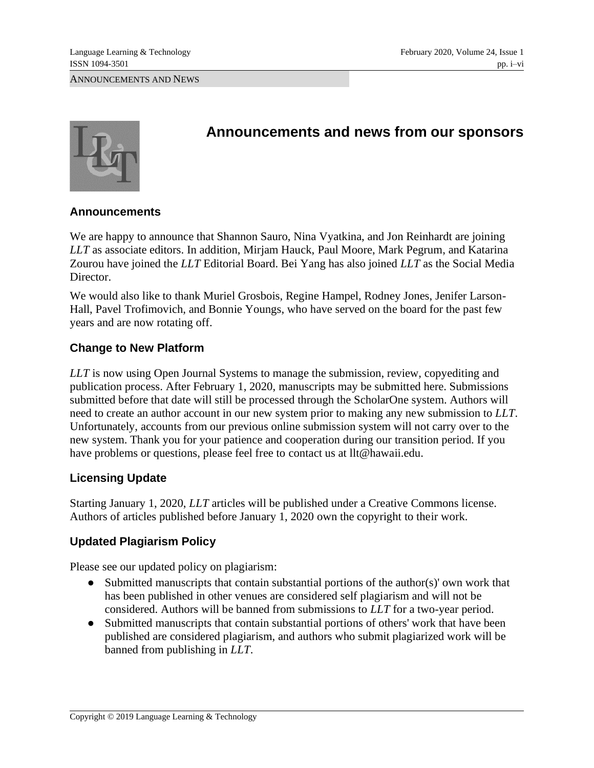

# **Announcements and news from our sponsors**

# **Announcements**

We are happy to announce that Shannon Sauro, Nina Vyatkina, and Jon Reinhardt are joining *LLT* as associate editors. In addition, Mirjam Hauck, Paul Moore, Mark Pegrum, and Katarina Zourou have joined the *LLT* Editorial Board. Bei Yang has also joined *LLT* as the Social Media Director.

We would also like to thank Muriel Grosbois, Regine Hampel, Rodney Jones, Jenifer Larson-Hall, Pavel Trofimovich, and Bonnie Youngs, who have served on the board for the past few years and are now rotating off.

# **Change to New Platform**

*LLT* is now using Open Journal Systems to manage the submission, review, copyediting and publication process. After February 1, 2020, manuscripts may be submitted [here.](https://opensubmissions.org/index.php/LLT/index) Submissions submitted before that date will still be processed through the ScholarOne system. Authors will need to create an author account in our new system prior to making any new submission to *LLT*. Unfortunately, accounts from our previous online submission system will not carry over to the new system. Thank you for your patience and cooperation during our transition period. If you have problems or questions, please feel free to contact us at [llt@hawaii.edu.](mailto:llt@hawaii.edu)

# **Licensing Update**

Starting January 1, 2020, *LLT* articles will be published under a Creative Commons license. Authors of articles published before January 1, 2020 own the copyright to their work.

# **Updated Plagiarism Policy**

Please see our updated policy on plagiarism:

- Submitted manuscripts that contain substantial portions of the author(s)' own work that has been published in other venues are considered self plagiarism and will not be considered. Authors will be banned from submissions to *LLT* for a two-year period.
- Submitted manuscripts that contain substantial portions of others' work that have been published are considered plagiarism, and authors who submit plagiarized work will be banned from publishing in *LLT*.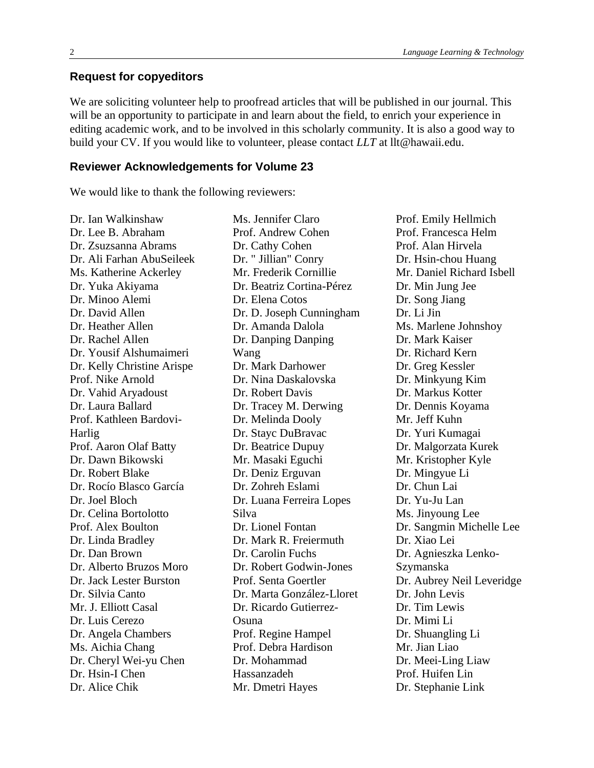### **Request for copyeditors**

We are soliciting volunteer help to proofread articles that will be published in our journal. This will be an opportunity to participate in and learn about the field, to enrich your experience in editing academic work, and to be involved in this scholarly community. It is also a good way to build your CV. If you would like to volunteer, please contact *LLT* at llt@hawaii.edu.

#### **Reviewer Acknowledgements for Volume 23**

We would like to thank the following reviewers:

Dr. Ian Walkinshaw Dr. Lee B. Abraham Dr. Zsuzsanna Abrams Dr. Ali Farhan AbuSeileek Ms. Katherine Ackerley Dr. Yuka Akiyama Dr. Minoo Alemi Dr. David Allen Dr. Heather Allen Dr. Rachel Allen Dr. Yousif Alshumaimeri Dr. Kelly Christine Arispe Prof. Nike Arnold Dr. Vahid Aryadoust Dr. Laura Ballard Prof. Kathleen Bardovi-Harlig Prof. Aaron Olaf Batty Dr. Dawn Bikowski Dr. Robert Blake Dr. Rocío Blasco García Dr. Joel Bloch Dr. Celina Bortolotto Prof. Alex Boulton Dr. Linda Bradley Dr. Dan Brown Dr. Alberto Bruzos Moro Dr. Jack Lester Burston Dr. Silvia Canto Mr. J. Elliott Casal Dr. Luis Cerezo Dr. Angela Chambers Ms. Aichia Chang Dr. Cheryl Wei-yu Chen Dr. Hsin-I Chen Dr. Alice Chik

Ms. Jennifer Claro Prof. Andrew Cohen Dr. Cathy Cohen Dr. " Jillian" Conry Mr. Frederik Cornillie Dr. Beatriz Cortina-Pérez Dr. Elena Cotos Dr. D. Joseph Cunningham Dr. Amanda Dalola Dr. Danping Danping Wang Dr. Mark Darhower Dr. Nina Daskalovska Dr. Robert Davis Dr. Tracey M. Derwing Dr. Melinda Dooly Dr. Stayc DuBravac Dr. Beatrice Dupuy Mr. Masaki Eguchi Dr. Deniz Erguvan Dr. Zohreh Eslami Dr. Luana Ferreira Lopes Silva Dr. Lionel Fontan Dr. Mark R. Freiermuth Dr. Carolin Fuchs Dr. Robert Godwin-Jones Prof. Senta Goertler Dr. Marta González-Lloret Dr. Ricardo Gutierrez-Osuna Prof. Regine Hampel Prof. Debra Hardison Dr. Mohammad Hassanzadeh Mr. Dmetri Hayes

Prof. Emily Hellmich Prof. Francesca Helm Prof. Alan Hirvela Dr. Hsin-chou Huang Mr. Daniel Richard Isbell Dr. Min Jung Jee Dr. Song Jiang Dr. Li Jin Ms. Marlene Johnshoy Dr. Mark Kaiser Dr. Richard Kern Dr. Greg Kessler Dr. Minkyung Kim Dr. Markus Kotter Dr. Dennis Koyama Mr. Jeff Kuhn Dr. Yuri Kumagai Dr. Malgorzata Kurek Mr. Kristopher Kyle Dr. Mingyue Li Dr. Chun Lai Dr. Yu-Ju Lan Ms. Jinyoung Lee Dr. Sangmin Michelle Lee Dr. Xiao Lei Dr. Agnieszka Lenko-Szymanska Dr. Aubrey Neil Leveridge Dr. John Levis Dr. Tim Lewis Dr. Mimi Li Dr. Shuangling Li Mr. Jian Liao Dr. Meei-Ling Liaw Prof. Huifen Lin Dr. Stephanie Link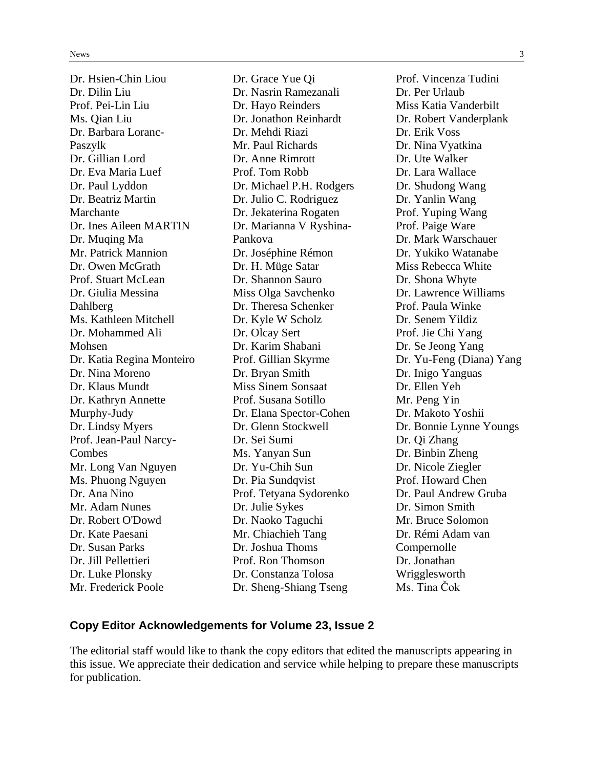Dr. Hsien-Chin Liou Dr. Dilin Liu Prof. Pei-Lin Liu Ms. Qian Liu Dr. Barbara Loranc-Paszylk Dr. Gillian Lord Dr. Eva Maria Luef Dr. Paul Lyddon Dr. Beatriz Martin Marchante Dr. Ines Aileen MARTIN Dr. Muqing Ma Mr. Patrick Mannion Dr. Owen McGrath Prof. Stuart McLean Dr. Giulia Messina Dahlberg Ms. Kathleen Mitchell Dr. Mohammed Ali Mohsen Dr. Katia Regina Monteiro Dr. Nina Moreno Dr. Klaus Mundt Dr. Kathryn Annette Murphy-Judy Dr. Lindsy Myers Prof. Jean-Paul Narcy-Combes Mr. Long Van Nguyen Ms. Phuong Nguyen Dr. Ana Nino Mr. Adam Nunes Dr. Robert O'Dowd Dr. Kate Paesani Dr. Susan Parks Dr. Jill Pellettieri Dr. Luke Plonsky Mr. Frederick Poole

Dr. Grace Yue Qi Dr. Nasrin Ramezanali Dr. Hayo Reinders Dr. Jonathon Reinhardt Dr. Mehdi Riazi Mr. Paul Richards Dr. Anne Rimrott Prof. Tom Robb Dr. Michael P.H. Rodgers Dr. Julio C. Rodriguez Dr. Jekaterina Rogaten Dr. Marianna V Ryshina-Pankova Dr. Joséphine Rémon Dr. H. Müge Satar Dr. Shannon Sauro Miss Olga Savchenko Dr. Theresa Schenker Dr. Kyle W Scholz Dr. Olcay Sert Dr. Karim Shabani Prof. Gillian Skyrme Dr. Bryan Smith Miss Sinem Sonsaat Prof. Susana Sotillo Dr. Elana Spector-Cohen Dr. Glenn Stockwell Dr. Sei Sumi Ms. Yanyan Sun Dr. Yu-Chih Sun Dr. Pia Sundqvist Prof. Tetyana Sydorenko Dr. Julie Sykes Dr. Naoko Taguchi Mr. Chiachieh Tang Dr. Joshua Thoms Prof. Ron Thomson Dr. Constanza Tolosa Dr. Sheng-Shiang Tseng

Prof. Vincenza Tudini Dr. Per Urlaub Miss Katia Vanderbilt Dr. Robert Vanderplank Dr. Erik Voss Dr. Nina Vyatkina Dr. Ute Walker Dr. Lara Wallace Dr. Shudong Wang Dr. Yanlin Wang Prof. Yuping Wang Prof. Paige Ware Dr. Mark Warschauer Dr. Yukiko Watanabe Miss Rebecca White Dr. Shona Whyte Dr. Lawrence Williams Prof. Paula Winke Dr. Senem Yildiz Prof. Jie Chi Yang Dr. Se Jeong Yang Dr. Yu-Feng (Diana) Yang Dr. Inigo Yanguas Dr. Ellen Yeh Mr. Peng Yin Dr. Makoto Yoshii Dr. Bonnie Lynne Youngs Dr. Qi Zhang Dr. Binbin Zheng Dr. Nicole Ziegler Prof. Howard Chen Dr. Paul Andrew Gruba Dr. Simon Smith Mr. Bruce Solomon Dr. Rémi Adam van **Compernolle** Dr. Jonathan Wrigglesworth Ms. Tina Čok

### **Copy Editor Acknowledgements for Volume 23, Issue 2**

The editorial staff would like to thank the copy editors that edited the manuscripts appearing in this issue. We appreciate their dedication and service while helping to prepare these manuscripts for publication.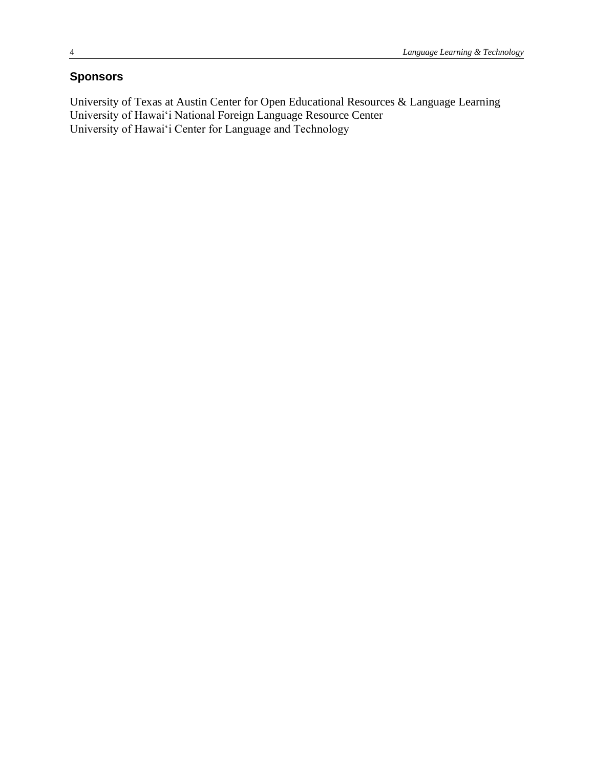# **Sponsors**

University of Texas at Austin Center for Open Educational Resources & Language Learning University of Hawai'i National Foreign Language Resource Center University of Hawai'i Center for Language and Technology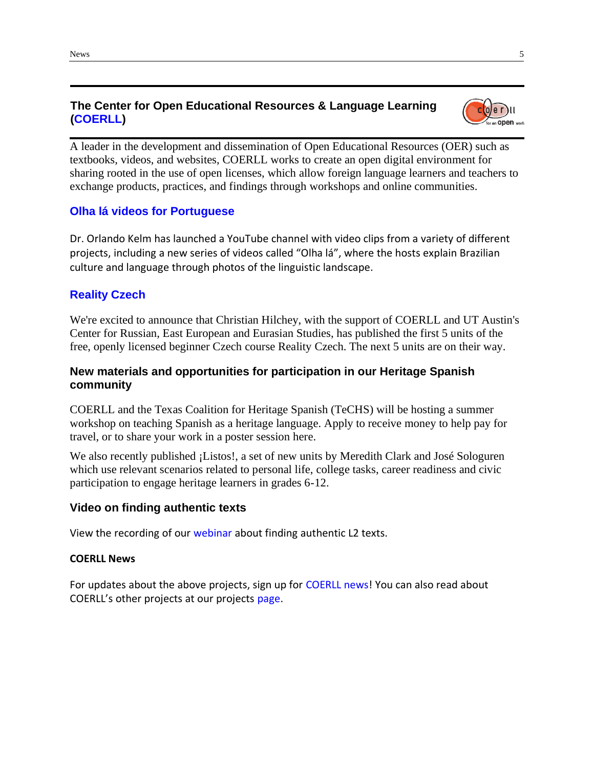# **The Center for Open Educational Resources & Language Learning [\(COERLL\)](https://www.coerll.utexas.edu/)**

A leader in the development and dissemination of Open Educational Resources (OER) such as textbooks, videos, and websites, COERLL works to create an open digital environment for sharing rooted in the use of open licenses, which allow foreign language learners and teachers to exchange products, practices, and findings through workshops and online communities.

## **[Olha lá videos for Portuguese](https://www.youtube.com/talkingrealportuguese)**

Dr. Orlando Kelm has launched a YouTube channel with video clips from a variety of different projects, including a new series of videos called "Olha lá", where the hosts explain Brazilian culture and language through photos of the linguistic landscape.

## **[Reality Czech](https://realityczech.org/)**

We're excited to announce that Christian Hilchey, with the support of COERLL and UT Austin's Center for Russian, East European and Eurasian Studies, has published the first 5 units of the free, openly licensed beginner Czech course Reality Czech. The next 5 units are on their way.

# **New materials and opportunities for participation in our Heritage Spanish community**

COERLL and the Texas Coalition for Heritage Spanish (TeCHS) will be hosting a summer workshop on teaching Spanish as a heritage language. Apply to receive money to help pay for travel, or to share your work in a poster session [here.](https://www.coerll.utexas.edu/coerll/events)

We also recently published [¡Listos!,](https://espanolabierto.org/listos/) a set of new units by Meredith Clark and José Sologuren which use relevant scenarios related to personal life, college tasks, career readiness and civic participation to engage heritage learners in grades 6-12.

### **Video on finding authentic texts**

View the recording of our [webinar](http://bit.ly/32JQSUD) about finding authentic L2 texts.

#### **COERLL News**

For updates about the above projects, sign up for [COERLL news!](http://bit.ly/COERLLnews) You can also read about COERLL's other projects at our projects [page.](http://www.coerll.utexas.edu/coerll/projects)